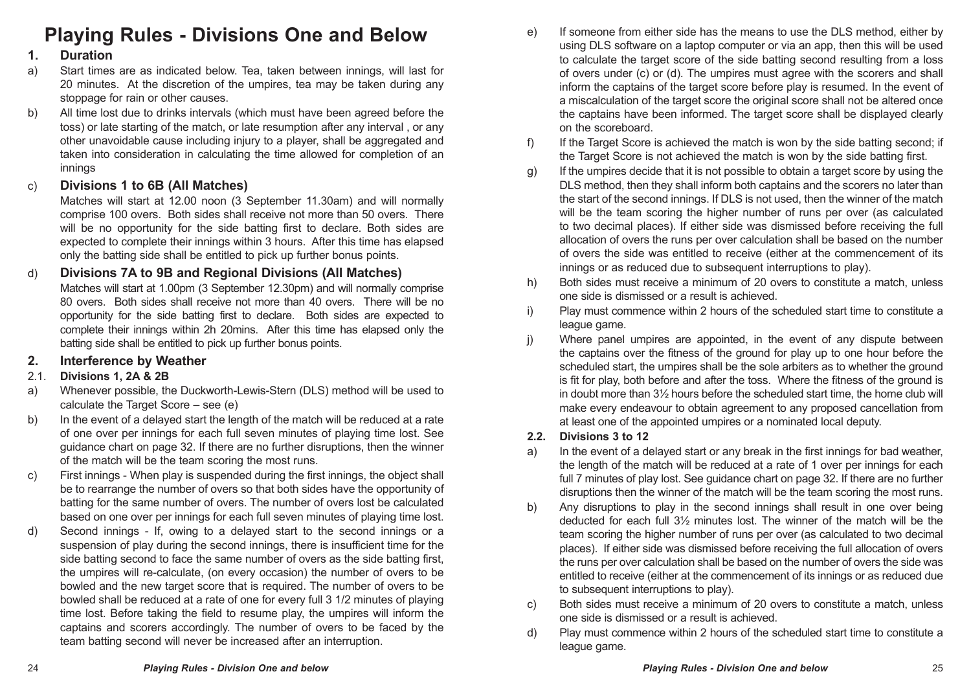# **Playing Rules - Divisions One and Below**

#### **1. Duration**

- a) Start times are as indicated below. Tea, taken between innings, will last for 20 minutes. At the discretion of the umpires, tea may be taken during any stoppage for rain or other causes.
- b) All time lost due to drinks intervals (which must have been agreed before the toss) or late starting of the match, or late resumption after any interval , or any other unavoidable cause including injury to a player, shall be aggregated and taken into consideration in calculating the time allowed for completion of an innings

## c) **Divisions 1 to 6B (All Matches)**

Matches will start at 12.00 noon (3 September 11.30am) and will normally comprise 100 overs. Both sides shall receive not more than 50 overs. There will be no opportunity for the side batting first to declare. Both sides are expected to complete their innings within 3 hours. After this time has elapsed only the batting side shall be entitled to pick up further bonus points.

d) **Divisions 7A to 9B and Regional Divisions (All Matches)** Matches will start at 1.00pm (3 September 12.30pm) and will normally comprise 80 overs. Both sides shall receive not more than 40 overs. There will be no opportunity for the side batting first to declare. Both sides are expected to complete their innings within 2h 20mins. After this time has elapsed only the batting side shall be entitled to pick up further bonus points.

## **2. Interference by Weather**

## 2.1. **Divisions 1, 2A & 2B**

- a) Whenever possible, the Duckworth-Lewis-Stern (DLS) method will be used to calculate the Target Score – see (e)
- b) In the event of a delayed start the length of the match will be reduced at a rate of one over per innings for each full seven minutes of playing time lost. See guidance chart on page 32. If there are no further disruptions, then the winner of the match will be the team scoring the most runs.
- c) First innings When play is suspended during the first innings, the object shall be to rearrange the number of overs so that both sides have the opportunity of batting for the same number of overs. The number of overs lost be calculated based on one over per innings for each full seven minutes of playing time lost.
- d) Second innings If, owing to a delayed start to the second innings or a suspension of play during the second innings, there is insufficient time for the side batting second to face the same number of overs as the side batting first, the umpires will re-calculate, (on every occasion) the number of overs to be bowled and the new target score that is required. The number of overs to be bowled shall be reduced at a rate of one for every full 3 1/2 minutes of playing time lost. Before taking the field to resume play, the umpires will inform the captains and scorers accordingly. The number of overs to be faced by the team batting second will never be increased after an interruption.
- e) If someone from either side has the means to use the DLS method, either by using DLS software on a laptop computer or via an app, then this will be used to calculate the target score of the side batting second resulting from a loss of overs under (c) or (d). The umpires must agree with the scorers and shall inform the captains of the target score before play is resumed. In the event of a miscalculation of the target score the original score shall not be altered once the captains have been informed. The target score shall be displayed clearly on the scoreboard.
- f) If the Target Score is achieved the match is won by the side batting second; if the Target Score is not achieved the match is won by the side batting first.
- g) If the umpires decide that it is not possible to obtain a target score by using the DLS method, then they shall inform both captains and the scorers no later than the start of the second innings. If DLS is not used, then the winner of the match will be the team scoring the higher number of runs per over (as calculated to two decimal places). If either side was dismissed before receiving the full allocation of overs the runs per over calculation shall be based on the number of overs the side was entitled to receive (either at the commencement of its innings or as reduced due to subsequent interruptions to play).
- h) Both sides must receive a minimum of 20 overs to constitute a match, unless one side is dismissed or a result is achieved.
- i) Play must commence within 2 hours of the scheduled start time to constitute a league game.
- j) Where panel umpires are appointed, in the event of any dispute between the captains over the fitness of the ground for play up to one hour before the scheduled start, the umpires shall be the sole arbiters as to whether the ground is fit for play, both before and after the toss. Where the fitness of the ground is in doubt more than 3½ hours before the scheduled start time, the home club will make every endeavour to obtain agreement to any proposed cancellation from at least one of the appointed umpires or a nominated local deputy.

#### **2.2. Divisions 3 to 12**

- a) In the event of a delayed start or any break in the first innings for bad weather, the length of the match will be reduced at a rate of 1 over per innings for each full 7 minutes of play lost. See guidance chart on page 32. If there are no further disruptions then the winner of the match will be the team scoring the most runs.
- b) Any disruptions to play in the second innings shall result in one over being deducted for each full 3½ minutes lost. The winner of the match will be the team scoring the higher number of runs per over (as calculated to two decimal places). If either side was dismissed before receiving the full allocation of overs the runs per over calculation shall be based on the number of overs the side was entitled to receive (either at the commencement of its innings or as reduced due to subsequent interruptions to play).
- c) Both sides must receive a minimum of 20 overs to constitute a match, unless one side is dismissed or a result is achieved.
- d) Play must commence within 2 hours of the scheduled start time to constitute a league game.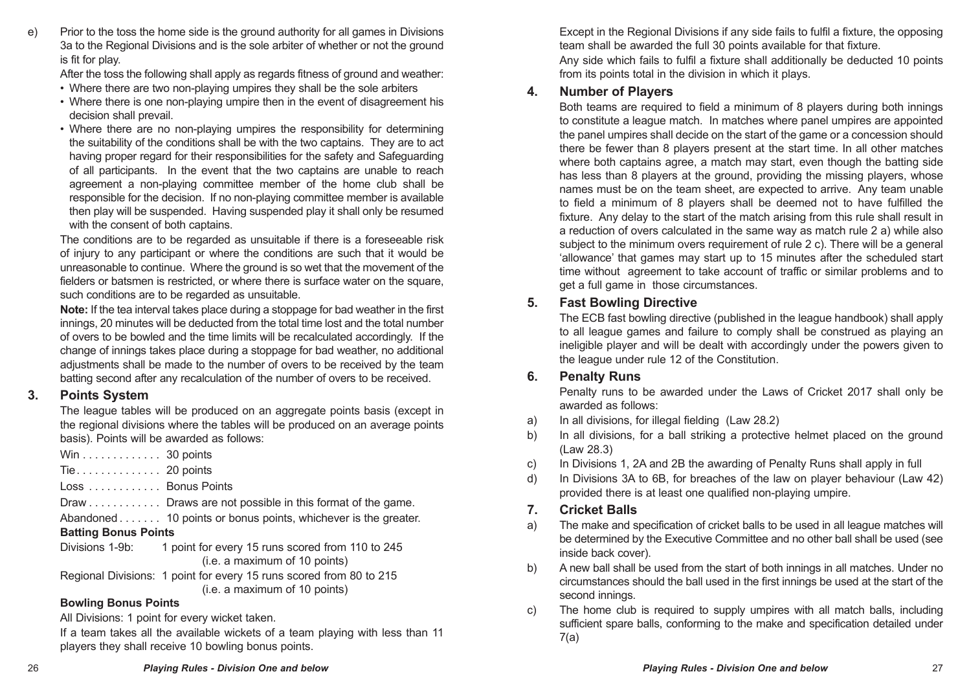e) Prior to the toss the home side is the ground authority for all games in Divisions 3a to the Regional Divisions and is the sole arbiter of whether or not the ground is fit for play.

After the toss the following shall apply as regards fitness of ground and weather:

- Where there are two non-playing umpires they shall be the sole arbiters
- Where there is one non-playing umpire then in the event of disagreement his decision shall prevail.
- Where there are no non-playing umpires the responsibility for determining the suitability of the conditions shall be with the two captains. They are to act having proper regard for their responsibilities for the safety and Safeguarding of all participants. In the event that the two captains are unable to reach agreement a non-playing committee member of the home club shall be responsible for the decision. If no non-playing committee member is available then play will be suspended. Having suspended play it shall only be resumed with the consent of both captains.

The conditions are to be regarded as unsuitable if there is a foreseeable risk of injury to any participant or where the conditions are such that it would be unreasonable to continue. Where the ground is so wet that the movement of the fielders or batsmen is restricted, or where there is surface water on the square. such conditions are to be regarded as unsuitable.

**Note:** If the tea interval takes place during a stoppage for bad weather in the first innings, 20 minutes will be deducted from the total time lost and the total number of overs to be bowled and the time limits will be recalculated accordingly. If the change of innings takes place during a stoppage for bad weather, no additional adjustments shall be made to the number of overs to be received by the team batting second after any recalculation of the number of overs to be received.

#### **3. Points System**

The league tables will be produced on an aggregate points basis (except in the regional divisions where the tables will be produced on an average points basis). Points will be awarded as follows:

Win . . . . . . . . . . . . . 30 points Tie. . 20 points Loss. . . . . . . . . . . . Bonus Points Draw . . . . . . . . . . . Draws are not possible in this format of the game. Abandoned. . . . . . . . 10 points or bonus points, whichever is the greater. **Batting Bonus Points** Divisions 1-9b: 1 point for every 15 runs scored from 110 to 245 (i.e. a maximum of 10 points) Regional Divisions: 1 point for every 15 runs scored from 80 to 215 (i.e. a maximum of 10 points)

#### **Bowling Bonus Points**

All Divisions: 1 point for every wicket taken.

If a team takes all the available wickets of a team playing with less than 11 players they shall receive 10 bowling bonus points.

Except in the Regional Divisions if any side fails to fulfil a fixture, the opposing team shall be awarded the full 30 points available for that fixture.

Any side which fails to fulfil a fixture shall additionally be deducted 10 points from its points total in the division in which it plays.

### **4. Number of Players**

Both teams are required to field a minimum of 8 players during both innings to constitute a league match. In matches where panel umpires are appointed the panel umpires shall decide on the start of the game or a concession should there be fewer than 8 players present at the start time. In all other matches where both captains agree, a match may start, even though the batting side has less than 8 players at the ground, providing the missing players, whose names must be on the team sheet, are expected to arrive. Any team unable to field a minimum of 8 players shall be deemed not to have fulfilled the fixture. Any delay to the start of the match arising from this rule shall result in a reduction of overs calculated in the same way as match rule 2 a) while also subject to the minimum overs requirement of rule 2 c). There will be a general 'allowance' that games may start up to 15 minutes after the scheduled start time without agreement to take account of traffic or similar problems and to get a full game in those circumstances.

## **5. Fast Bowling Directive**

The ECB fast bowling directive (published in the league handbook) shall apply to all league games and failure to comply shall be construed as playing an ineligible player and will be dealt with accordingly under the powers given to the league under rule 12 of the Constitution.

## **6. Penalty Runs**

Penalty runs to be awarded under the Laws of Cricket 2017 shall only be awarded as follows:

- a) In all divisions, for illegal fielding (Law 28.2)
- b) In all divisions, for a ball striking a protective helmet placed on the ground (Law 28.3)
- c) In Divisions 1, 2A and 2B the awarding of Penalty Runs shall apply in full
- d) In Divisions 3A to 6B, for breaches of the law on player behaviour (Law 42) provided there is at least one qualified non-playing umpire.

## **7. Cricket Balls**

- a) The make and specification of cricket balls to be used in all league matches will be determined by the Executive Committee and no other ball shall be used (see inside back cover).
- b) A new ball shall be used from the start of both innings in all matches. Under no circumstances should the ball used in the first innings be used at the start of the second innings.
- c) The home club is required to supply umpires with all match balls, including sufficient spare balls, conforming to the make and specification detailed under 7(a)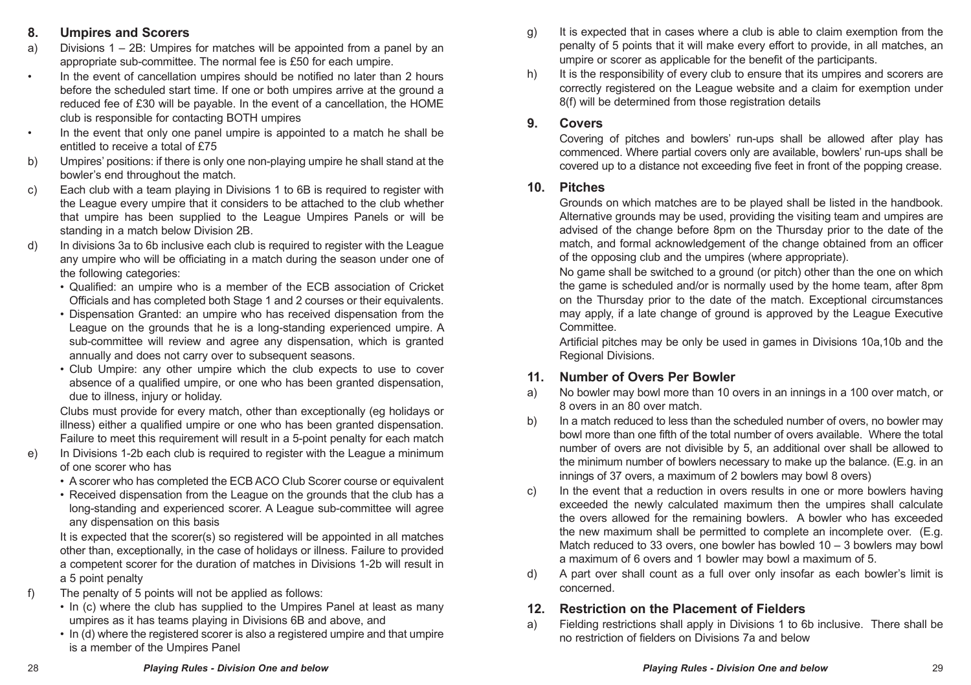## **8. Umpires and Scorers**

- a) Divisions 1 2B: Umpires for matches will be appointed from a panel by an appropriate sub-committee. The normal fee is £50 for each umpire.
- In the event of cancellation umpires should be notified no later than 2 hours before the scheduled start time. If one or both umpires arrive at the ground a reduced fee of £30 will be payable. In the event of a cancellation, the HOME club is responsible for contacting BOTH umpires
- In the event that only one panel umpire is appointed to a match he shall be entitled to receive a total of £75
- b) Umpires' positions: if there is only one non-playing umpire he shall stand at the bowler's end throughout the match.
- c) Each club with a team playing in Divisions 1 to 6B is required to register with the League every umpire that it considers to be attached to the club whether that umpire has been supplied to the League Umpires Panels or will be standing in a match below Division 2B.
- d) In divisions 3a to 6b inclusive each club is required to register with the League any umpire who will be officiating in a match during the season under one of the following categories:
	- Qualified: an umpire who is a member of the ECB association of Cricket Officials and has completed both Stage 1 and 2 courses or their equivalents.
	- Dispensation Granted: an umpire who has received dispensation from the League on the grounds that he is a long-standing experienced umpire. A sub-committee will review and agree any dispensation, which is granted annually and does not carry over to subsequent seasons.
	- Club Umpire: any other umpire which the club expects to use to cover absence of a qualified umpire, or one who has been granted dispensation, due to illness, injury or holiday.

Clubs must provide for every match, other than exceptionally (eg holidays or illness) either a qualified umpire or one who has been granted dispensation. Failure to meet this requirement will result in a 5-point penalty for each match

- e) In Divisions 1-2b each club is required to register with the League a minimum of one scorer who has
	- A scorer who has completed the ECB ACO Club Scorer course or equivalent
	- Received dispensation from the League on the grounds that the club has a long-standing and experienced scorer. A League sub-committee will agree any dispensation on this basis

It is expected that the scorer(s) so registered will be appointed in all matches other than, exceptionally, in the case of holidays or illness. Failure to provided a competent scorer for the duration of matches in Divisions 1-2b will result in a 5 point penalty

- f) The penalty of 5 points will not be applied as follows:
	- In (c) where the club has supplied to the Umpires Panel at least as many umpires as it has teams playing in Divisions 6B and above, and
	- In (d) where the registered scorer is also a registered umpire and that umpire is a member of the Umpires Panel
- g) It is expected that in cases where a club is able to claim exemption from the penalty of 5 points that it will make every effort to provide, in all matches, an umpire or scorer as applicable for the benefit of the participants.
- h) It is the responsibility of every club to ensure that its umpires and scorers are correctly registered on the League website and a claim for exemption under 8(f) will be determined from those registration details

#### **9. Covers**

Covering of pitches and bowlers' run-ups shall be allowed after play has commenced. Where partial covers only are available, bowlers' run-ups shall be covered up to a distance not exceeding five feet in front of the popping crease.

#### **10. Pitches**

Grounds on which matches are to be played shall be listed in the handbook. Alternative grounds may be used, providing the visiting team and umpires are advised of the change before 8pm on the Thursday prior to the date of the match, and formal acknowledgement of the change obtained from an officer of the opposing club and the umpires (where appropriate).

No game shall be switched to a ground (or pitch) other than the one on which the game is scheduled and/or is normally used by the home team, after 8pm on the Thursday prior to the date of the match. Exceptional circumstances may apply, if a late change of ground is approved by the League Executive **Committee.** 

Artificial pitches may be only be used in games in Divisions 10a,10b and the Regional Divisions.

#### **11. Number of Overs Per Bowler**

- a) No bowler may bowl more than 10 overs in an innings in a 100 over match, or 8 overs in an 80 over match.
- b) In a match reduced to less than the scheduled number of overs, no bowler may bowl more than one fifth of the total number of overs available. Where the total number of overs are not divisible by 5, an additional over shall be allowed to the minimum number of bowlers necessary to make up the balance. (E.g. in an innings of 37 overs, a maximum of 2 bowlers may bowl 8 overs)
- c) In the event that a reduction in overs results in one or more bowlers having exceeded the newly calculated maximum then the umpires shall calculate the overs allowed for the remaining bowlers. A bowler who has exceeded the new maximum shall be permitted to complete an incomplete over. (E.g. Match reduced to 33 overs, one bowler has bowled 10 – 3 bowlers may bowl a maximum of 6 overs and 1 bowler may bowl a maximum of 5.
- d) A part over shall count as a full over only insofar as each bowler's limit is concerned.

## **12. Restriction on the Placement of Fielders**

a) Fielding restrictions shall apply in Divisions 1 to 6b inclusive. There shall be no restriction of fielders on Divisions 7a and below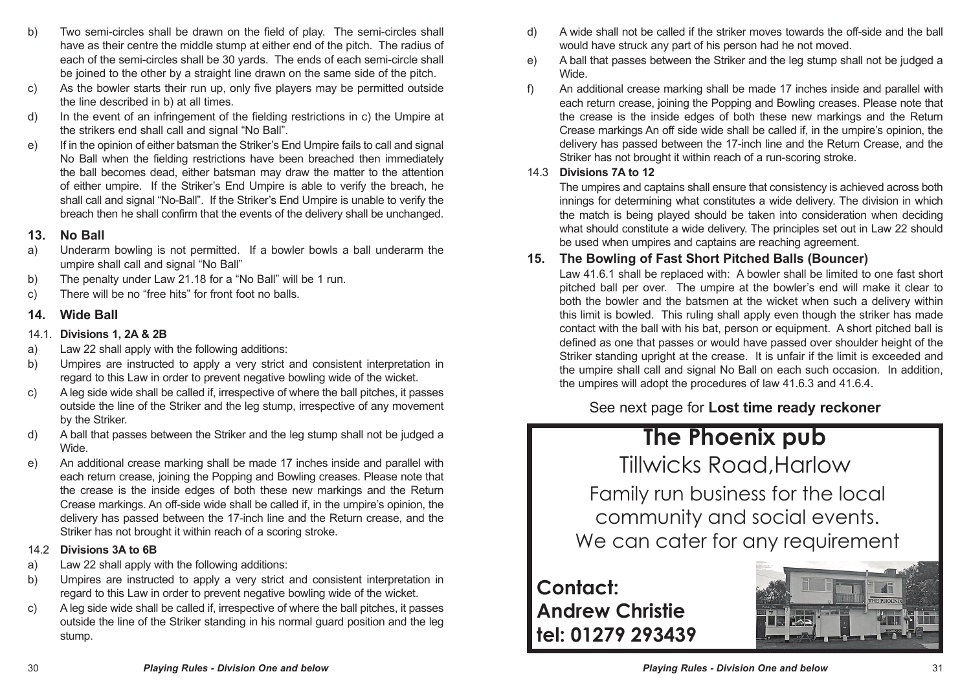- b) Two semi-circles shall be drawn on the field of play. The semi-circles shall have as their centre the middle stump at either end of the pitch. The radius of each of the semi-circles shall be 30 yards. The ends of each semi-circle shall be joined to the other by a straight line drawn on the same side of the pitch.
- c) As the bowler starts their run up, only five players may be permitted outside the line described in b) at all times.
- d) In the event of an infringement of the fielding restrictions in c) the Umpire at the strikers end shall call and signal "No Ball".
- e) If in the opinion of either batsman the Striker's End Umpire fails to call and signal No Ball when the fielding restrictions have been breached then immediately the ball becomes dead, either batsman may draw the matter to the attention of either umpire. If the Striker's End Umpire is able to verify the breach, he shall call and signal "No-Ball". If the Striker's End Umpire is unable to verify the breach then he shall confirm that the events of the delivery shall be unchanged.

#### **13. No Ball**

- a) Underarm bowling is not permitted. If a bowler bowls a ball underarm the umpire shall call and signal "No Ball"
- b) The penalty under Law 21.18 for a "No Ball" will be 1 run.
- c) There will be no "free hits" for front foot no balls.

#### **14. Wide Ball**

- 14.1. **Divisions 1, 2A & 2B**
- a) Law 22 shall apply with the following additions:
- b) Umpires are instructed to apply a very strict and consistent interpretation in regard to this Law in order to prevent negative bowling wide of the wicket.
- c) A leg side wide shall be called if, irrespective of where the ball pitches, it passes outside the line of the Striker and the leg stump, irrespective of any movement by the Striker.
- d) A ball that passes between the Striker and the leg stump shall not be judged a Wide.
- e) An additional crease marking shall be made 17 inches inside and parallel with each return crease, joining the Popping and Bowling creases. Please note that the crease is the inside edges of both these new markings and the Return Crease markings. An off-side wide shall be called if, in the umpire's opinion, the delivery has passed between the 17-inch line and the Return crease, and the Striker has not brought it within reach of a scoring stroke.

#### 14.2 **Divisions 3A to 6B**

- a) Law 22 shall apply with the following additions:
- b) Umpires are instructed to apply a very strict and consistent interpretation in regard to this Law in order to prevent negative bowling wide of the wicket.
- c) A leg side wide shall be called if, irrespective of where the ball pitches, it passes outside the line of the Striker standing in his normal guard position and the leg stump.
- d) A wide shall not be called if the striker moves towards the off-side and the ball would have struck any part of his person had he not moved.
- e) A ball that passes between the Striker and the leg stump shall not be judged a Wide.
- f) An additional crease marking shall be made 17 inches inside and parallel with each return crease, joining the Popping and Bowling creases. Please note that the crease is the inside edges of both these new markings and the Return Crease markings An off side wide shall be called if, in the umpire's opinion, the delivery has passed between the 17-inch line and the Return Crease, and the Striker has not brought it within reach of a run-scoring stroke.

#### 14.3 **Divisions 7A to 12**

The umpires and captains shall ensure that consistency is achieved across both innings for determining what constitutes a wide delivery. The division in which the match is being played should be taken into consideration when deciding what should constitute a wide delivery. The principles set out in Law 22 should be used when umpires and captains are reaching agreement.

#### **15. The Bowling of Fast Short Pitched Balls (Bouncer)**

Law 41.6.1 shall be replaced with: A bowler shall be limited to one fast short pitched ball per over. The umpire at the bowler's end will make it clear to both the bowler and the batsmen at the wicket when such a delivery within this limit is bowled. This ruling shall apply even though the striker has made contact with the ball with his bat, person or equipment. A short pitched ball is defined as one that passes or would have passed over shoulder height of the Striker standing upright at the crease. It is unfair if the limit is exceeded and the umpire shall call and signal No Ball on each such occasion. In addition, the umpires will adopt the procedures of law 41.6.3 and 41.6.4.

See next page for **Lost time ready reckoner**

# **The Phoenix pub**

Tillwicks Road,Harlow

Family run business for the local community and social events. We can cater for any requirement

## **Contact: Andrew Christie tel: 01279 293439**